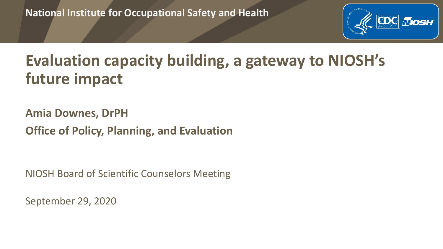

# **Evaluation capacity building, a gateway to NIOSH's future impact**

**Amia Downes, DrPH Office of Policy, Planning, and Evaluation**

NIOSH Board of Scientific Counselors Meeting

September 29, 2020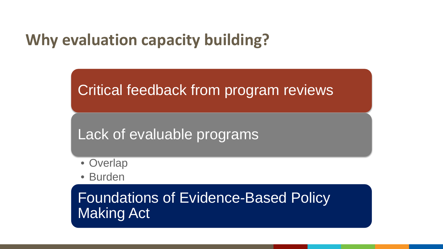## **Why evaluation capacity building?**

Critical feedback from program reviews

Lack of evaluable programs

- Overlap
- **Burden**

Foundations of Evidence-Based Policy Making Act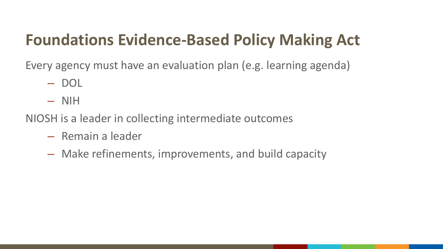# **Foundations Evidence-Based Policy Making Act**

Every agency must have an evaluation plan (e.g. learning agenda)

- DOL
- NIH

NIOSH is a leader in collecting intermediate outcomes

- Remain a leader
- Make refinements, improvements, and build capacity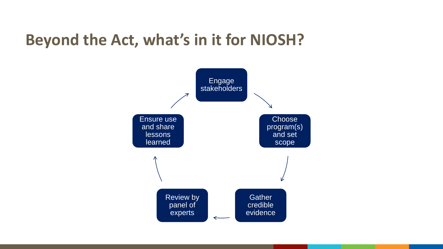### **Beyond the Act, what's in it for NIOSH?**

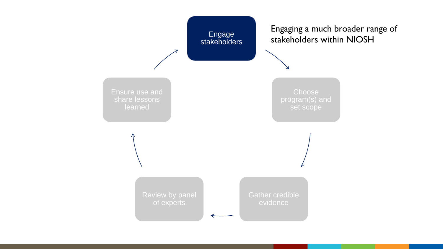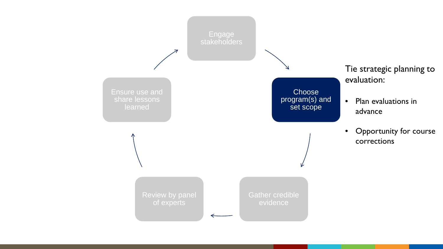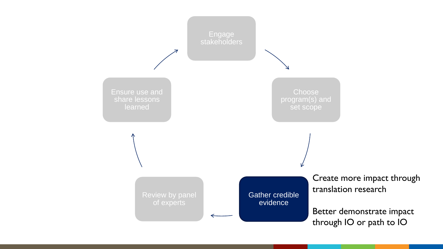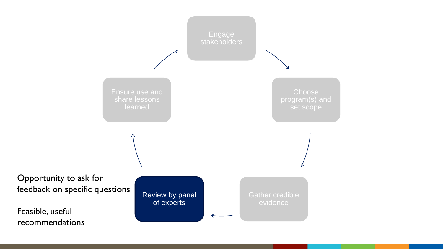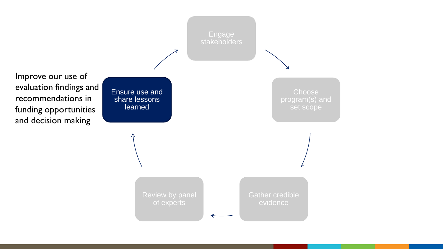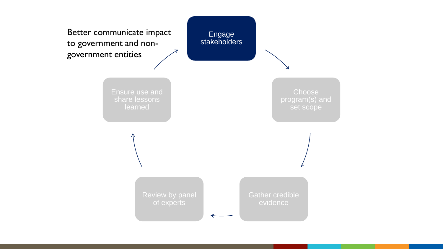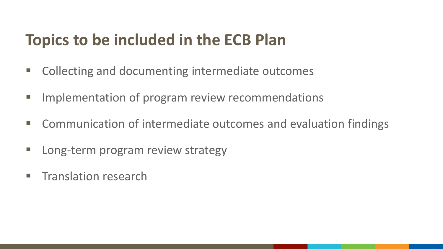## **Topics to be included in the ECB Plan**

- Collecting and documenting intermediate outcomes
- **Implementation of program review recommendations**
- Communication of intermediate outcomes and evaluation findings
- **E** Long-term program review strategy
- **Translation research**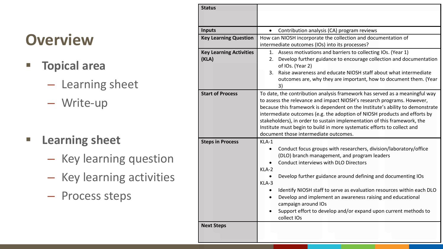# **Overview**

- **Topical area**
	- Learning sheet
	- Write-up
- **Learning sheet**
	- Key learning question
	- Key learning activities
	- Process steps

| <b>Status</b>                  |                                                                               |
|--------------------------------|-------------------------------------------------------------------------------|
|                                |                                                                               |
|                                |                                                                               |
| <b>Inputs</b>                  | Contribution analysis (CA) program reviews<br>$\bullet$                       |
| <b>Key Learning Question</b>   | How can NIOSH incorporate the collection and documentation of                 |
|                                | intermediate outcomes (IOs) into its processes?                               |
| <b>Key Learning Activities</b> | 1. Assess motivations and barriers to collecting IOs. (Year 1)                |
| (KLA)                          | Develop further guidance to encourage collection and documentation<br>2.      |
|                                | of IOs. (Year 2)                                                              |
|                                | Raise awareness and educate NIOSH staff about what intermediate<br>3.         |
|                                | outcomes are, why they are important, how to document them. (Year             |
|                                | 3)                                                                            |
| <b>Start of Process</b>        | To date, the contribution analysis framework has served as a meaningful way   |
|                                | to assess the relevance and impact NIOSH's research programs. However,        |
|                                | because this framework is dependent on the Institute's ability to demonstrate |
|                                | intermediate outcomes (e.g. the adoption of NIOSH products and efforts by     |
|                                | stakeholders), in order to sustain implementation of this framework, the      |
|                                | Institute must begin to build in more systematic efforts to collect and       |
|                                | document those intermediate outcomes.                                         |
| <b>Steps in Process</b>        | KLA-1                                                                         |
|                                | Conduct focus groups with researchers, division/laboratory/office             |
|                                | (DLO) branch management, and program leaders                                  |
|                                | Conduct interviews with DLO Directors                                         |
|                                | KLA-2                                                                         |
|                                | Develop further guidance around defining and documenting IOs                  |
|                                | KLA-3                                                                         |
|                                | Identify NIOSH staff to serve as evaluation resources within each DLO         |
|                                | Develop and implement an awareness raising and educational                    |
|                                | campaign around IOs                                                           |
|                                | Support effort to develop and/or expand upon current methods to               |
|                                | collect IOs                                                                   |
| <b>Next Steps</b>              |                                                                               |
|                                |                                                                               |
|                                |                                                                               |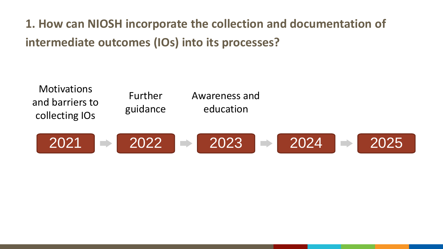**1. How can NIOSH incorporate the collection and documentation of intermediate outcomes (IOs) into its processes?**

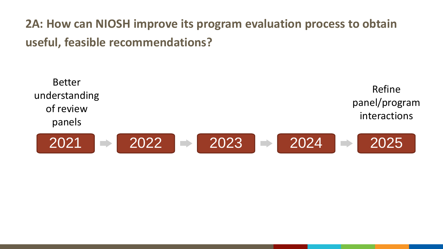**2A: How can NIOSH improve its program evaluation process to obtain useful, feasible recommendations?**

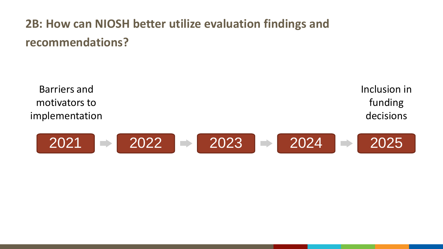#### **2B: How can NIOSH better utilize evaluation findings and recommendations?**

Barriers and motivators to implementation Inclusion in funding decisions

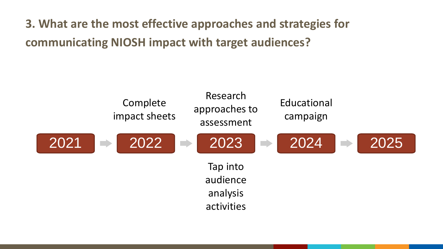**3. What are the most effective approaches and strategies for communicating NIOSH impact with target audiences?**

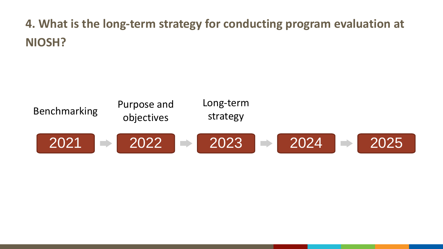### **4. What is the long-term strategy for conducting program evaluation at NIOSH?**

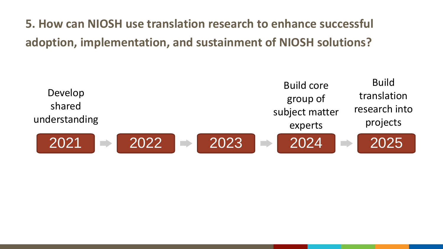**5. How can NIOSH use translation research to enhance successful adoption, implementation, and sustainment of NIOSH solutions?** 

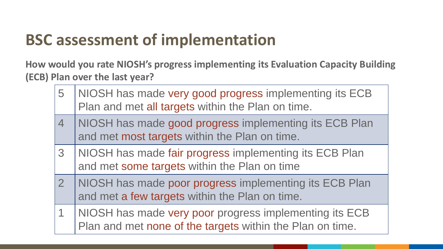## **BSC assessment of implementation**

**How would you rate NIOSH's progress implementing its Evaluation Capacity Building (ECB) Plan over the last year?**

| 5           | NIOSH has made very good progress implementing its ECB<br>Plan and met all targets within the Plan on time.         |
|-------------|---------------------------------------------------------------------------------------------------------------------|
| $\sqrt{4}$  | NIOSH has made good progress implementing its ECB Plan<br>and met most targets within the Plan on time.             |
| 3           | NIOSH has made fair progress implementing its ECB Plan<br>and met some targets within the Plan on time              |
| $ 2\rangle$ | NIOSH has made poor progress implementing its ECB Plan<br>and met a few targets within the Plan on time.            |
|             | NIOSH has made very poor progress implementing its ECB<br>Plan and met none of the targets within the Plan on time. |